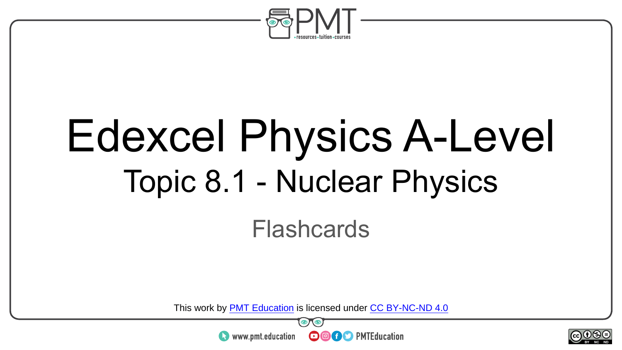

# Edexcel Physics A-Level Topic 8.1 - Nuclear Physics

#### Flashcards

This work by <u>PMT Education</u> is licensed under CC BY-NC-ND 4.0<br>
www.pmt.education **in the CO CO** PMTEducation



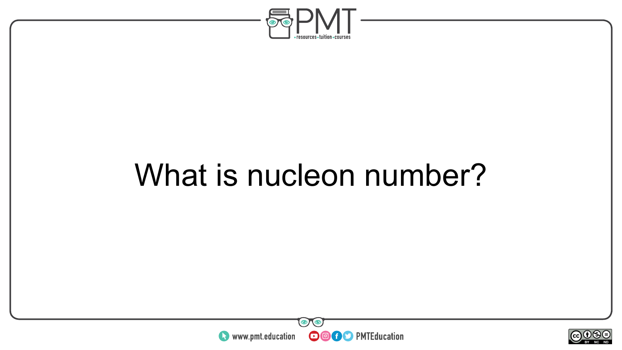

#### What is nucleon number?



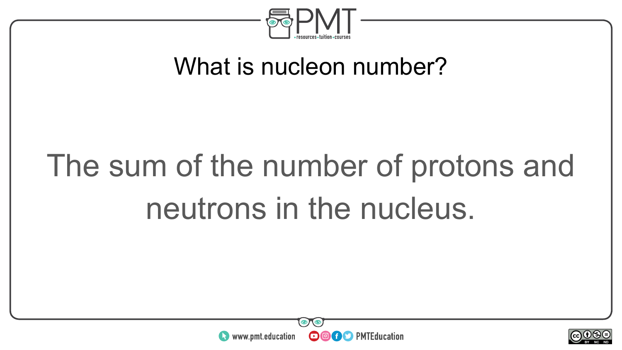

#### What is nucleon number?

# The sum of the number of protons and neutrons in the nucleus.



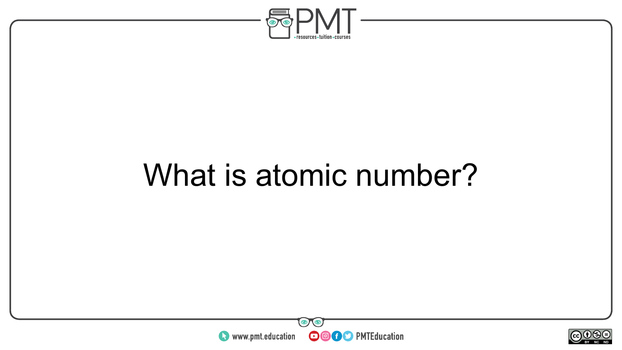

#### What is atomic number?



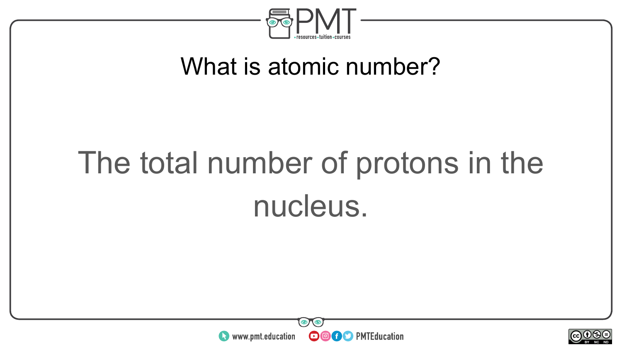

#### What is atomic number?

# The total number of protons in the nucleus.



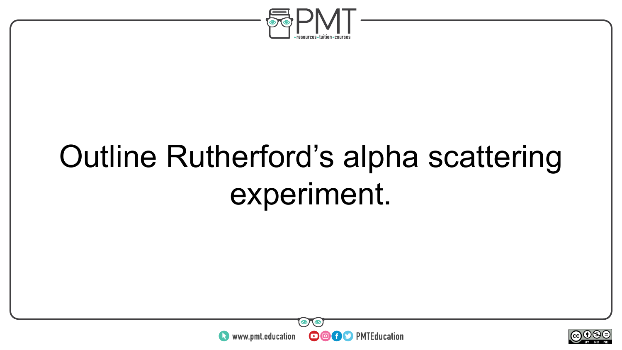

### Outline Rutherford's alpha scattering experiment.



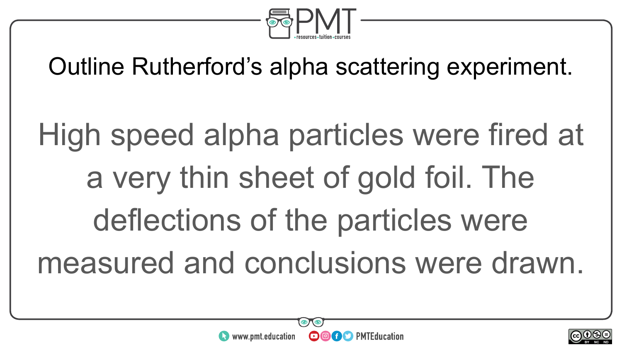

Outline Rutherford's alpha scattering experiment.

High speed alpha particles were fired at a very thin sheet of gold foil. The deflections of the particles were measured and conclusions were drawn.



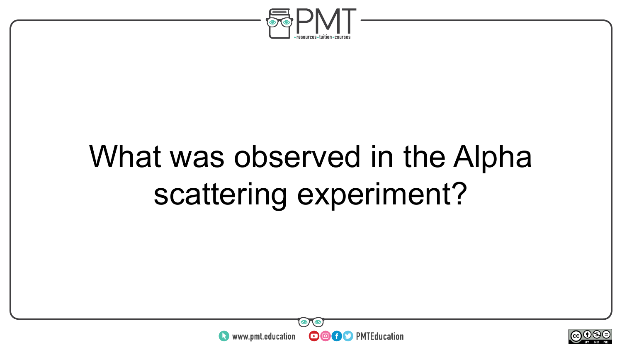

### What was observed in the Alpha scattering experiment?



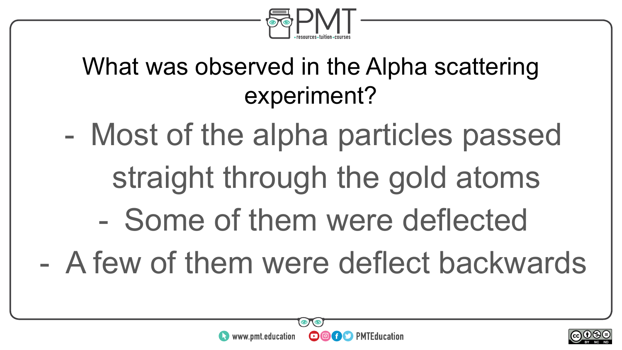

#### What was observed in the Alpha scattering experiment?

- Most of the alpha particles passed straight through the gold atoms
	- Some of them were deflected
- A few of them were deflect backwards



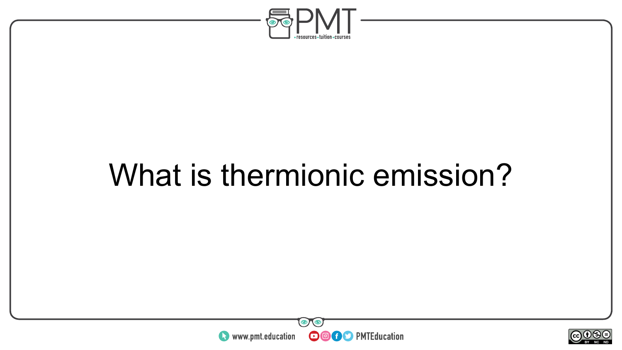

#### What is thermionic emission?



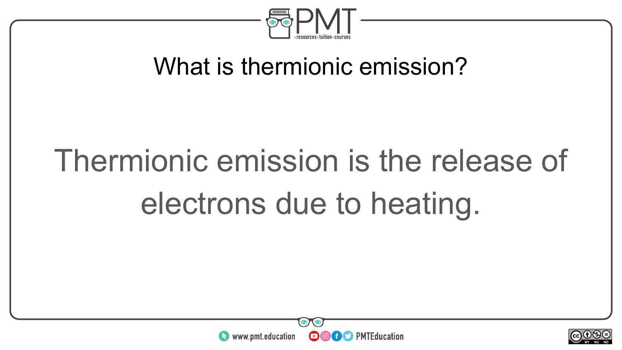

#### What is thermionic emission?

# Thermionic emission is the release of electrons due to heating.



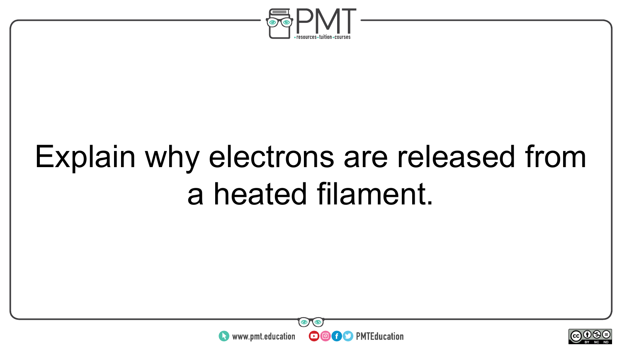

### Explain why electrons are released from a heated filament.



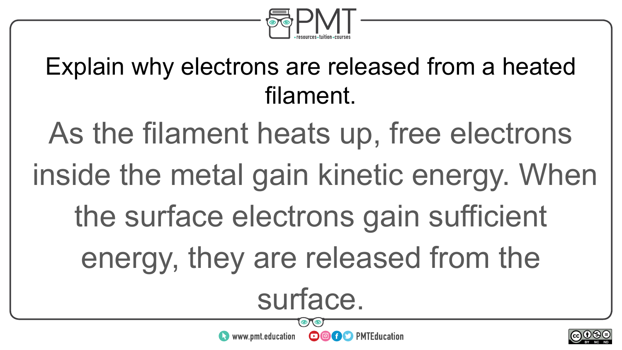

#### Explain why electrons are released from a heated filament.

As the filament heats up, free electrons

inside the metal gain kinetic energy. When

the surface electrons gain sufficient

energy, they are released from the

surface.

**OOOO** PMTEducation

 $\bullet$  www.pmt.education

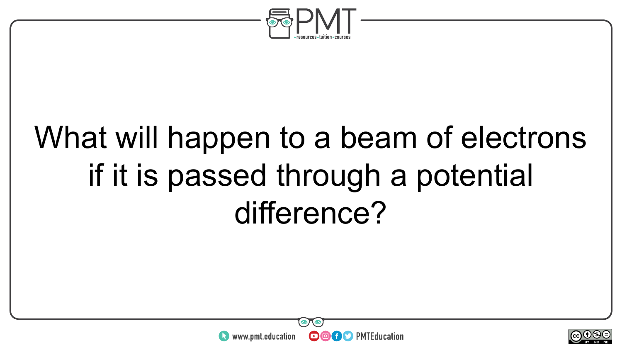

#### What will happen to a beam of electrons if it is passed through a potential difference?



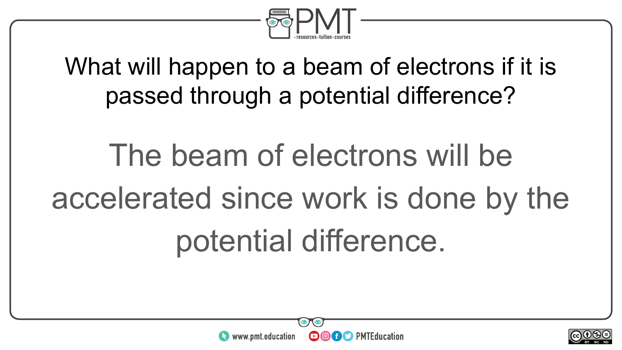

What will happen to a beam of electrons if it is passed through a potential difference?

# The beam of electrons will be accelerated since work is done by the potential difference.



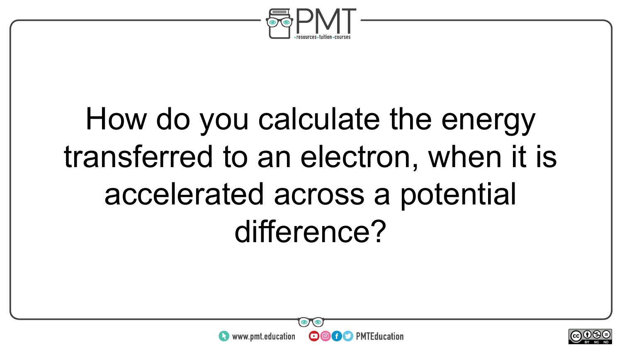

## How do you calculate the energy transferred to an electron, when it is accelerated across a potential difference?

**OOOO** PMTEducation



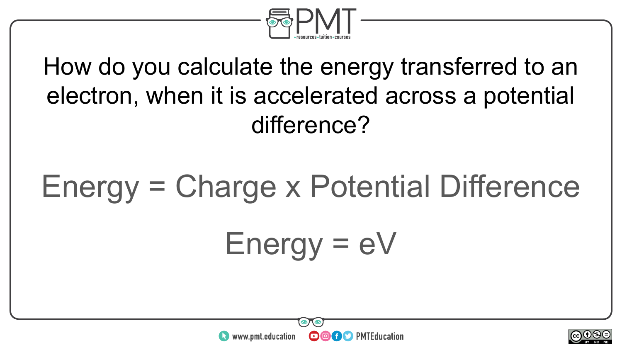

How do you calculate the energy transferred to an electron, when it is accelerated across a potential difference?

#### Energy = Charge x Potential Difference





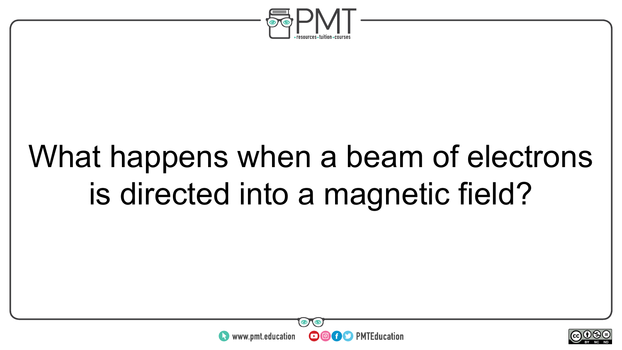

### What happens when a beam of electrons is directed into a magnetic field?



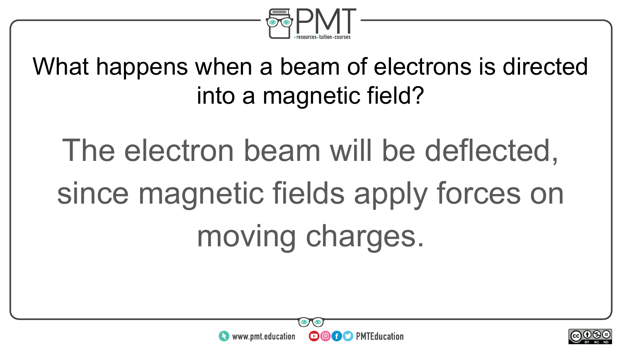

What happens when a beam of electrons is directed into a magnetic field?

The electron beam will be deflected, since magnetic fields apply forces on moving charges.



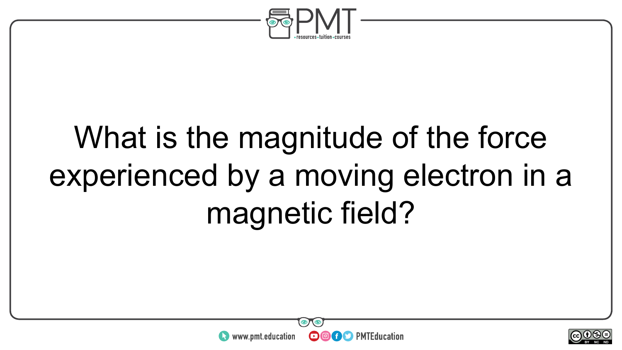

## What is the magnitude of the force experienced by a moving electron in a magnetic field?



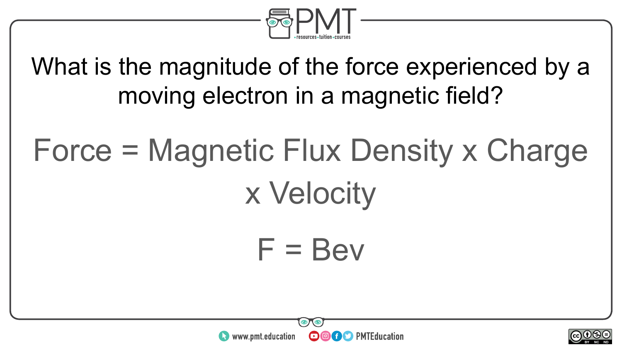

What is the magnitude of the force experienced by a moving electron in a magnetic field?

# Force = Magnetic Flux Density x Charge x Velocity

 $F = Bev$ 



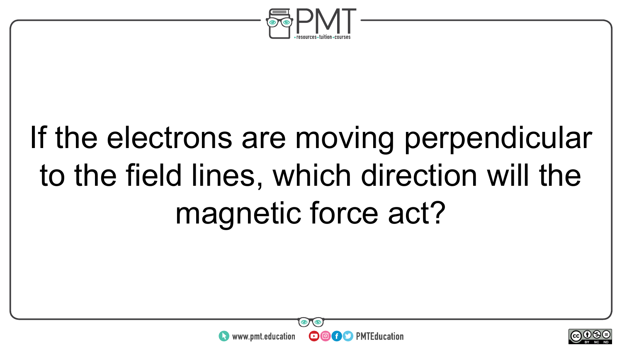

# If the electrons are moving perpendicular to the field lines, which direction will the magnetic force act?



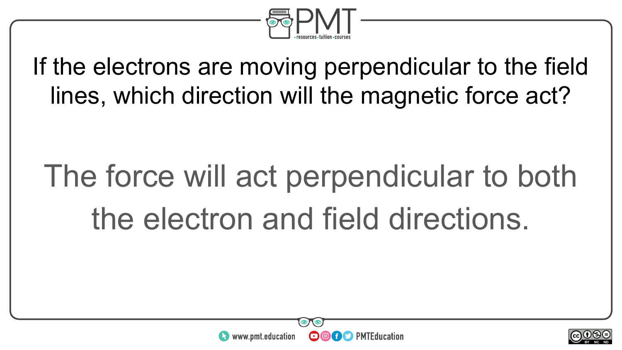

If the electrons are moving perpendicular to the field lines, which direction will the magnetic force act?

# The force will act perpendicular to both the electron and field directions.



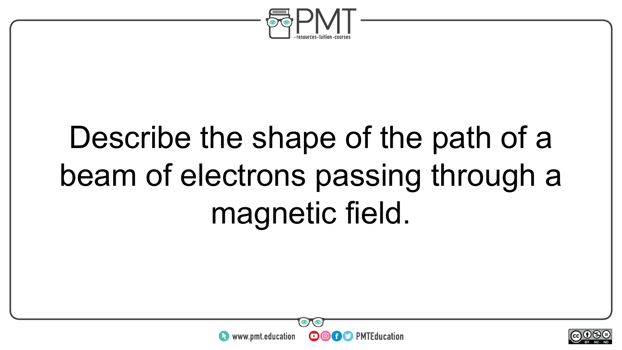

# Describe the shape of the path of a beam of electrons passing through a magnetic field.



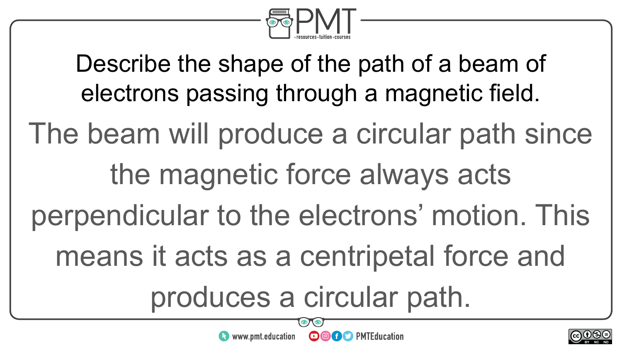

Describe the shape of the path of a beam of electrons passing through a magnetic field.

The beam will produce a circular path since

#### the magnetic force always acts

perpendicular to the electrons' motion. This

means it acts as a centripetal force and

produces a circular path.

**OOOO** PMTEducation



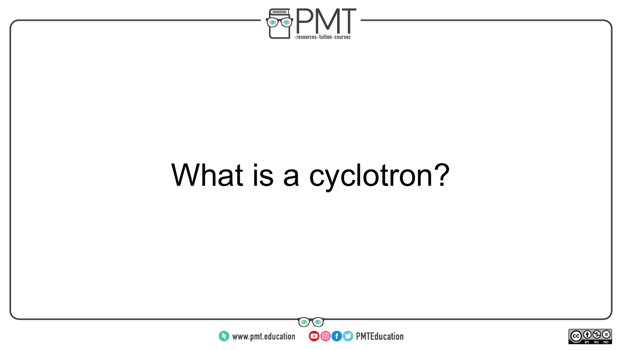

# What is a cyclotron?



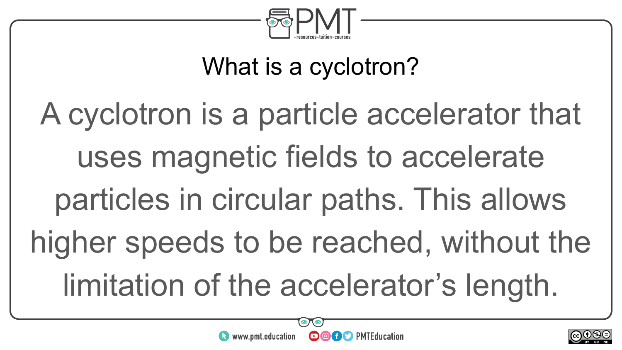

#### What is a cyclotron?

A cyclotron is a particle accelerator that uses magnetic fields to accelerate particles in circular paths. This allows higher speeds to be reached, without the limitation of the accelerator's length.



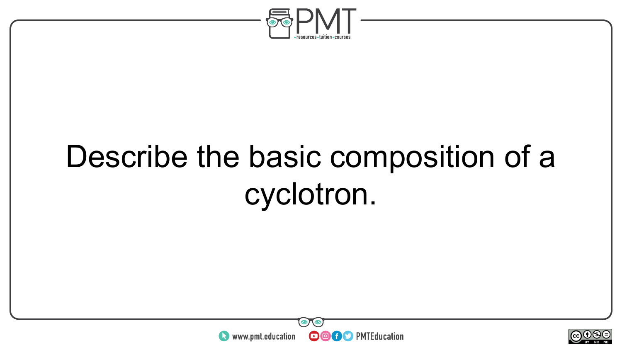

### Describe the basic composition of a cyclotron.



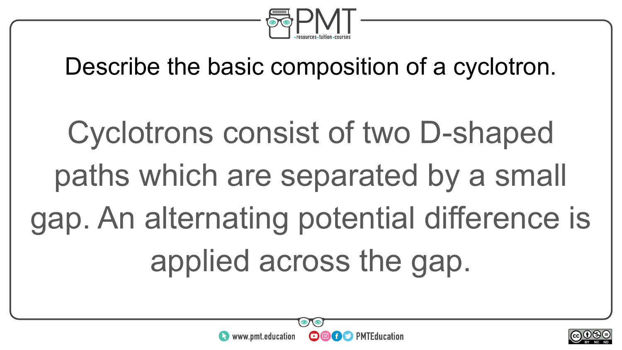

Describe the basic composition of a cyclotron.

Cyclotrons consist of two D-shaped paths which are separated by a small gap. An alternating potential difference is applied across the gap.



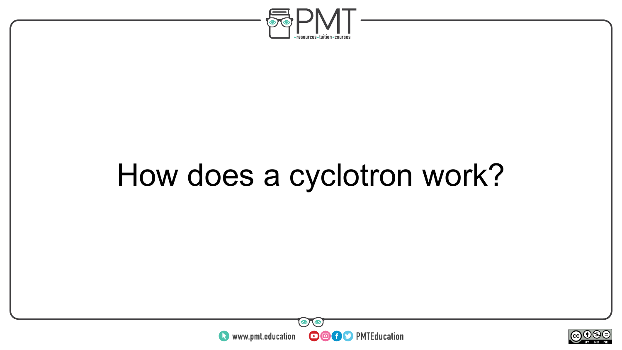

### How does a cyclotron work?



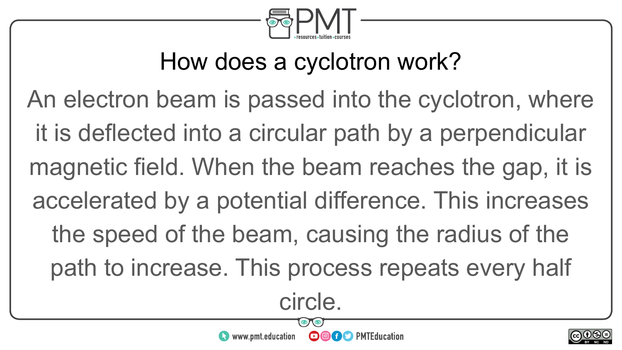

#### How does a cyclotron work?

An electron beam is passed into the cyclotron, where it is deflected into a circular path by a perpendicular magnetic field. When the beam reaches the gap, it is accelerated by a potential difference. This increases the speed of the beam, causing the radius of the path to increase. This process repeats every half

circle.

**OOOO** PMTEducation

www.pmt.education

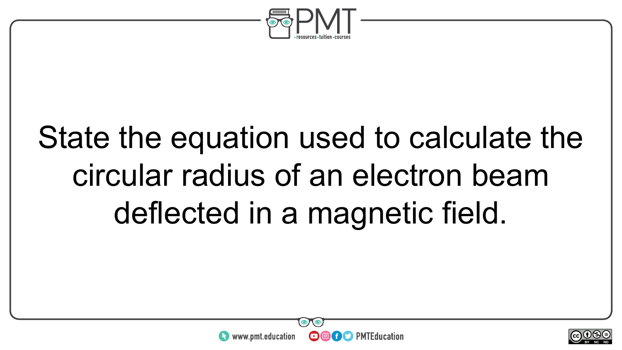

## State the equation used to calculate the circular radius of an electron beam deflected in a magnetic field.



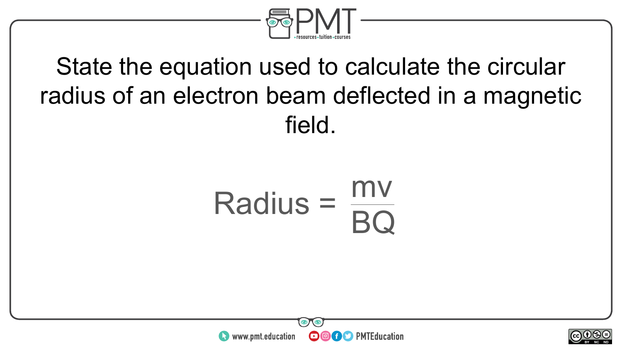

#### State the equation used to calculate the circular radius of an electron beam deflected in a magnetic field.

#### $Radius =$ BQ



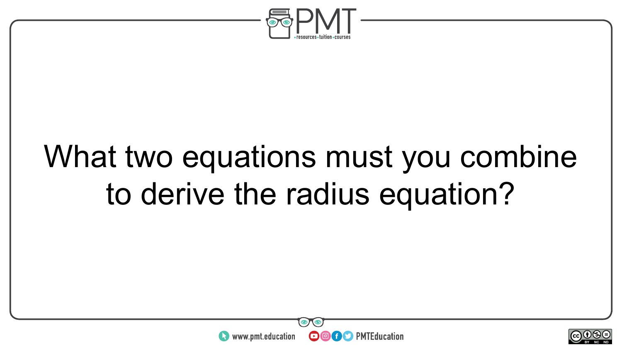

#### What two equations must you combine to derive the radius equation?



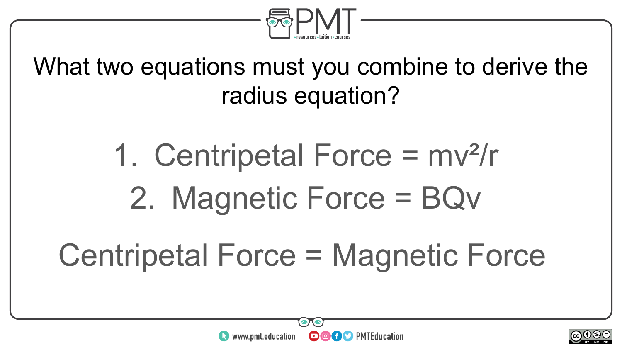

What two equations must you combine to derive the radius equation?

> 1. Centripetal Force = mv²/r 2. Magnetic Force = BQv

#### Centripetal Force = Magnetic Force



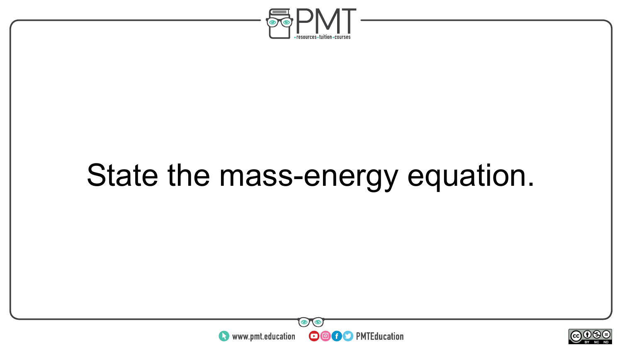

### State the mass-energy equation.



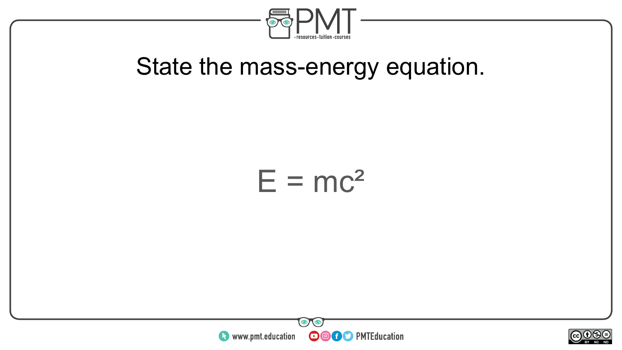

#### State the mass-energy equation.

#### $E = mc^2$



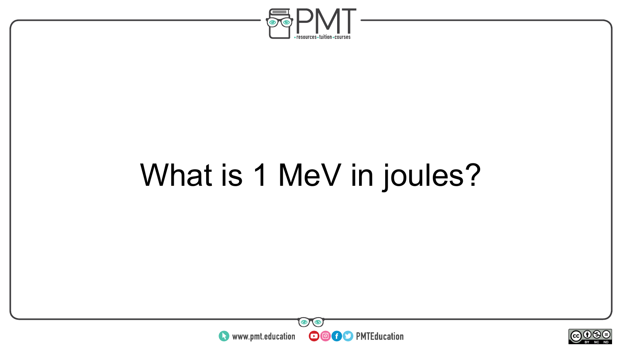

# What is 1 MeV in joules?